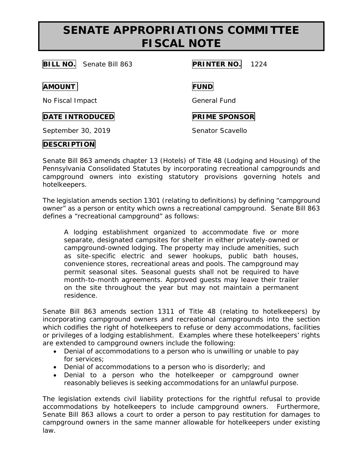## **SENATE APPROPRIATIONS COMMITTEE FISCAL NOTE**

**BILL NO.** Senate Bill 863 **PRINTER NO.** 1224

**AMOUNT FUND**

No Fiscal Impact General Fund

**DATE INTRODUCED PRIME SPONSOR** 

September 30, 2019 Senator Scavello

## **DESCRIPTION**

Senate Bill 863 amends chapter 13 (Hotels) of Title 48 (Lodging and Housing) of the Pennsylvania Consolidated Statutes by incorporating recreational campgrounds and campground owners into existing statutory provisions governing hotels and hotelkeepers.

The legislation amends section 1301 (relating to definitions) by defining "campground owner" as a person or entity which owns a recreational campground. Senate Bill 863 defines a "recreational campground" as follows:

*A lodging establishment organized to accommodate five or more separate, designated campsites for shelter in either privately-owned or campground-owned lodging. The property may include amenities, such as site-specific electric and sewer hookups, public bath houses, convenience stores, recreational areas and pools. The campground may permit seasonal sites. Seasonal guests shall not be required to have month-to-month agreements. Approved guests may leave their trailer on the site throughout the year but may not maintain a permanent residence.*

Senate Bill 863 amends section 1311 of Title 48 (relating to hotelkeepers) by incorporating campground owners and recreational campgrounds into the section which codifies the right of hotelkeepers to refuse or deny accommodations, facilities or privileges of a lodging establishment. Examples where these hotelkeepers' rights are extended to campground owners include the following:

- Denial of accommodations to a person who is unwilling or unable to pay for services;
- Denial of accommodations to a person who is disorderly; and
- Denial to a person who the hotelkeeper or campground owner reasonably believes is seeking accommodations for an unlawful purpose.

The legislation extends civil liability protections for the rightful refusal to provide accommodations by hotelkeepers to include campground owners. Furthermore, Senate Bill 863 allows a court to order a person to pay restitution for damages to campground owners in the same manner allowable for hotelkeepers under existing law.